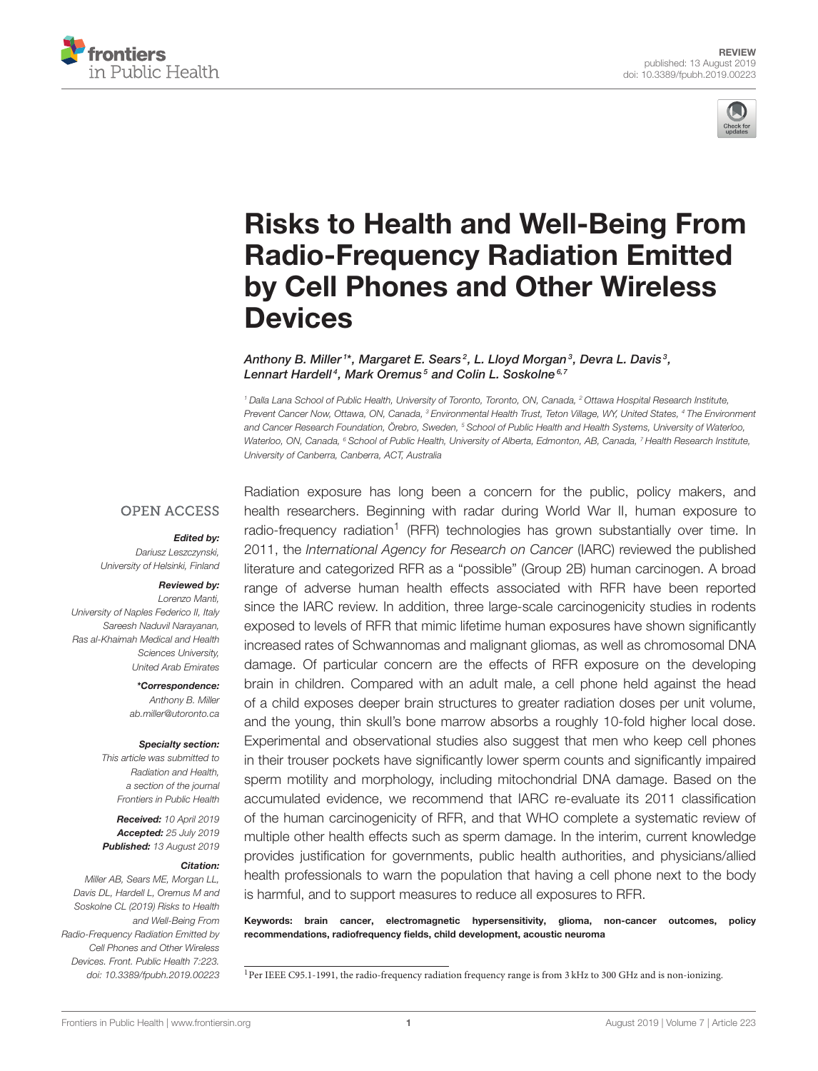



# Risks to Health and Well-Being From [Radio-Frequency Radiation Emitted](https://www.frontiersin.org/articles/10.3389/fpubh.2019.00223/full) by Cell Phones and Other Wireless **Devices**

[Anthony B. Miller](http://loop.frontiersin.org/people/705347/overview)<sup>1\*</sup>, [Margaret E. Sears](http://loop.frontiersin.org/people/719362/overview)<sup>2</sup>, L. Lloyd Morgan<sup>3</sup>, [Devra L. Davis](http://loop.frontiersin.org/people/116757/overview)<sup>3</sup>, [Lennart Hardell](http://loop.frontiersin.org/people/485601/overview)<sup>4</sup>, [Mark Oremus](http://loop.frontiersin.org/people/705931/overview)<sup>5</sup> and [Colin L. Soskolne](http://loop.frontiersin.org/people/705140/overview)<sup>6,7</sup>

<sup>1</sup> Dalla Lana School of Public Health, University of Toronto, Toronto, ON, Canada, <sup>2</sup> Ottawa Hospital Research Institute, Prevent Cancer Now, Ottawa, ON, Canada, <sup>3</sup> Environmental Health Trust, Teton Village, WY, United States, <sup>4</sup> The Environment and Cancer Research Foundation, Örebro, Sweden, <sup>5</sup> School of Public Health and Health Systems, University of Waterloo, Waterloo, ON, Canada, <sup>6</sup> School of Public Health, University of Alberta, Edmonton, AB, Canada, <sup>7</sup> Health Research Institute, University of Canberra, Canberra, ACT, Australia

### **OPEN ACCESS**

#### Edited by:

Dariusz Leszczynski, University of Helsinki, Finland

#### Reviewed by:

Lorenzo Manti, University of Naples Federico II, Italy Sareesh Naduvil Narayanan, Ras al-Khaimah Medical and Health Sciences University, United Arab Emirates

> \*Correspondence: Anthony B. Miller [ab.miller@utoronto.ca](mailto:ab.miller@utoronto.ca)

#### Specialty section:

This article was submitted to Radiation and Health, a section of the journal Frontiers in Public Health

Received: 10 April 2019 Accepted: 25 July 2019 Published: 13 August 2019

#### Citation:

Miller AB, Sears ME, Morgan LL, Davis DL, Hardell L, Oremus M and Soskolne CL (2019) Risks to Health and Well-Being From Radio-Frequency Radiation Emitted by Cell Phones and Other Wireless Devices. Front. Public Health 7:223. doi: [10.3389/fpubh.2019.00223](https://doi.org/10.3389/fpubh.2019.00223)

Radiation exposure has long been a concern for the public, policy makers, and health researchers. Beginning with radar during World War II, human exposure to radio-frequency radiation<sup>[1](#page-0-0)</sup> (RFR) technologies has grown substantially over time. In 2011, the International Agency for Research on Cancer (IARC) reviewed the published literature and categorized RFR as a "possible" (Group 2B) human carcinogen. A broad range of adverse human health effects associated with RFR have been reported since the IARC review. In addition, three large-scale carcinogenicity studies in rodents exposed to levels of RFR that mimic lifetime human exposures have shown significantly increased rates of Schwannomas and malignant gliomas, as well as chromosomal DNA damage. Of particular concern are the effects of RFR exposure on the developing brain in children. Compared with an adult male, a cell phone held against the head of a child exposes deeper brain structures to greater radiation doses per unit volume, and the young, thin skull's bone marrow absorbs a roughly 10-fold higher local dose. Experimental and observational studies also suggest that men who keep cell phones in their trouser pockets have significantly lower sperm counts and significantly impaired sperm motility and morphology, including mitochondrial DNA damage. Based on the accumulated evidence, we recommend that IARC re-evaluate its 2011 classification of the human carcinogenicity of RFR, and that WHO complete a systematic review of multiple other health effects such as sperm damage. In the interim, current knowledge provides justification for governments, public health authorities, and physicians/allied health professionals to warn the population that having a cell phone next to the body is harmful, and to support measures to reduce all exposures to RFR.

Keywords: brain cancer, electromagnetic hypersensitivity, glioma, non-cancer outcomes, policy recommendations, radiofrequency fields, child development, acoustic neuroma

<span id="page-0-0"></span><sup>&</sup>lt;sup>1</sup>Per IEEE C95.1-1991, the radio-frequency radiation frequency range is from 3 kHz to 300 GHz and is non-ionizing.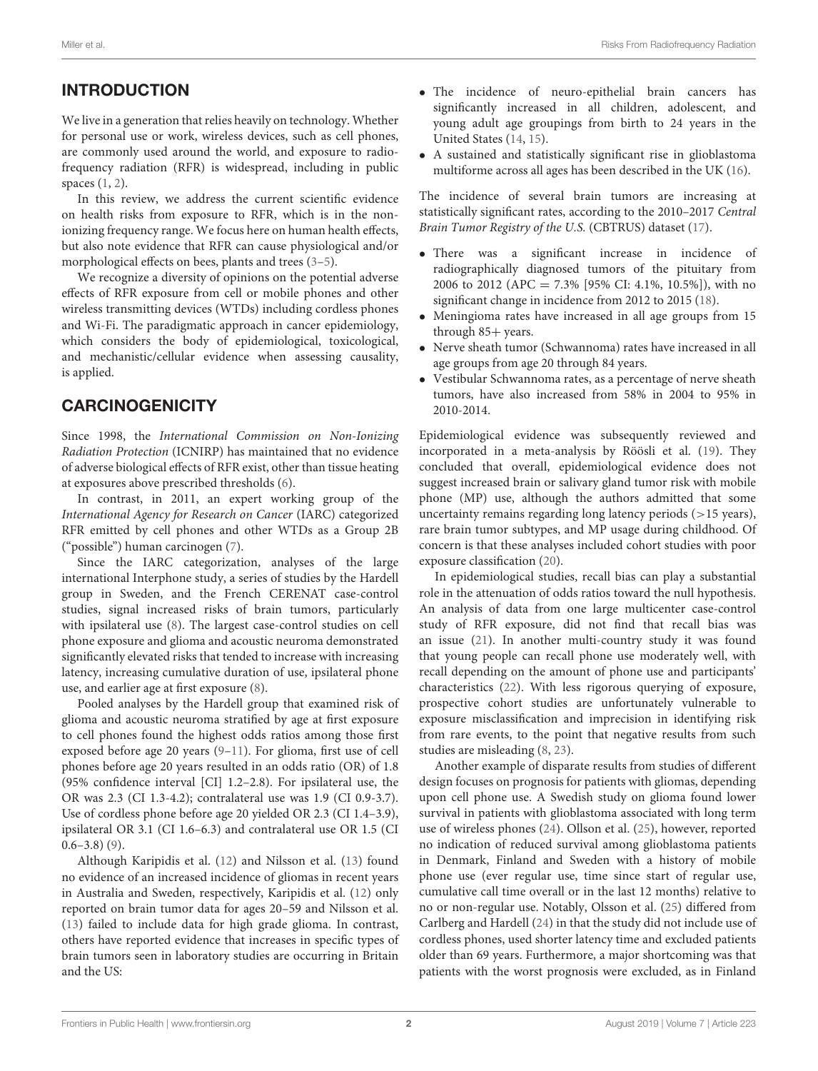# INTRODUCTION

We live in a generation that relies heavily on technology. Whether for personal use or work, wireless devices, such as cell phones, are commonly used around the world, and exposure to radiofrequency radiation (RFR) is widespread, including in public spaces [\(1,](#page-5-0) [2\)](#page-5-1).

In this review, we address the current scientific evidence on health risks from exposure to RFR, which is in the nonionizing frequency range. We focus here on human health effects, but also note evidence that RFR can cause physiological and/or morphological effects on bees, plants and trees [\(3–](#page-5-2)[5\)](#page-5-3).

We recognize a diversity of opinions on the potential adverse effects of RFR exposure from cell or mobile phones and other wireless transmitting devices (WTDs) including cordless phones and Wi-Fi. The paradigmatic approach in cancer epidemiology, which considers the body of epidemiological, toxicological, and mechanistic/cellular evidence when assessing causality, is applied.

# **CARCINOGENICITY**

Since 1998, the International Commission on Non-Ionizing Radiation Protection (ICNIRP) has maintained that no evidence of adverse biological effects of RFR exist, other than tissue heating at exposures above prescribed thresholds [\(6\)](#page-6-0).

In contrast, in 2011, an expert working group of the International Agency for Research on Cancer (IARC) categorized RFR emitted by cell phones and other WTDs as a Group 2B ("possible") human carcinogen [\(7\)](#page-6-1).

Since the IARC categorization, analyses of the large international Interphone study, a series of studies by the Hardell group in Sweden, and the French CERENAT case-control studies, signal increased risks of brain tumors, particularly with ipsilateral use [\(8\)](#page-6-2). The largest case-control studies on cell phone exposure and glioma and acoustic neuroma demonstrated significantly elevated risks that tended to increase with increasing latency, increasing cumulative duration of use, ipsilateral phone use, and earlier age at first exposure [\(8\)](#page-6-2).

Pooled analyses by the Hardell group that examined risk of glioma and acoustic neuroma stratified by age at first exposure to cell phones found the highest odds ratios among those first exposed before age 20 years [\(9](#page-6-3)[–11\)](#page-6-4). For glioma, first use of cell phones before age 20 years resulted in an odds ratio (OR) of 1.8 (95% confidence interval [CI] 1.2–2.8). For ipsilateral use, the OR was 2.3 (CI 1.3-4.2); contralateral use was 1.9 (CI 0.9-3.7). Use of cordless phone before age 20 yielded OR 2.3 (CI 1.4–3.9), ipsilateral OR 3.1 (CI 1.6–6.3) and contralateral use OR 1.5 (CI  $0.6-3.8)$  [\(9\)](#page-6-3).

Although Karipidis et al. [\(12\)](#page-6-5) and Nilsson et al. [\(13\)](#page-6-6) found no evidence of an increased incidence of gliomas in recent years in Australia and Sweden, respectively, Karipidis et al. [\(12\)](#page-6-5) only reported on brain tumor data for ages 20–59 and Nilsson et al. [\(13\)](#page-6-6) failed to include data for high grade glioma. In contrast, others have reported evidence that increases in specific types of brain tumors seen in laboratory studies are occurring in Britain and the US:

- The incidence of neuro-epithelial brain cancers has significantly increased in all children, adolescent, and young adult age groupings from birth to 24 years in the United States [\(14,](#page-6-7) [15\)](#page-6-8).
- A sustained and statistically significant rise in glioblastoma multiforme across all ages has been described in the UK [\(16\)](#page-6-9).

The incidence of several brain tumors are increasing at statistically significant rates, according to the 2010–2017 Central Brain Tumor Registry of the U.S. (CBTRUS) dataset [\(17\)](#page-6-10).

- There was a significant increase in incidence of radiographically diagnosed tumors of the pituitary from 2006 to 2012 (APC = 7.3% [95% CI: 4.1%, 10.5%]), with no significant change in incidence from 2012 to 2015 [\(18\)](#page-6-11).
- Meningioma rates have increased in all age groups from 15 through 85+ years.
- Nerve sheath tumor (Schwannoma) rates have increased in all age groups from age 20 through 84 years.
- Vestibular Schwannoma rates, as a percentage of nerve sheath tumors, have also increased from 58% in 2004 to 95% in 2010-2014.

Epidemiological evidence was subsequently reviewed and incorporated in a meta-analysis by Röösli et al. [\(19\)](#page-6-12). They concluded that overall, epidemiological evidence does not suggest increased brain or salivary gland tumor risk with mobile phone (MP) use, although the authors admitted that some uncertainty remains regarding long latency periods (>15 years), rare brain tumor subtypes, and MP usage during childhood. Of concern is that these analyses included cohort studies with poor exposure classification [\(20\)](#page-6-13).

In epidemiological studies, recall bias can play a substantial role in the attenuation of odds ratios toward the null hypothesis. An analysis of data from one large multicenter case-control study of RFR exposure, did not find that recall bias was an issue [\(21\)](#page-6-14). In another multi-country study it was found that young people can recall phone use moderately well, with recall depending on the amount of phone use and participants' characteristics [\(22\)](#page-6-15). With less rigorous querying of exposure, prospective cohort studies are unfortunately vulnerable to exposure misclassification and imprecision in identifying risk from rare events, to the point that negative results from such studies are misleading [\(8,](#page-6-2) [23\)](#page-6-16).

Another example of disparate results from studies of different design focuses on prognosis for patients with gliomas, depending upon cell phone use. A Swedish study on glioma found lower survival in patients with glioblastoma associated with long term use of wireless phones [\(24\)](#page-6-17). Ollson et al. [\(25\)](#page-6-18), however, reported no indication of reduced survival among glioblastoma patients in Denmark, Finland and Sweden with a history of mobile phone use (ever regular use, time since start of regular use, cumulative call time overall or in the last 12 months) relative to no or non-regular use. Notably, Olsson et al. [\(25\)](#page-6-18) differed from Carlberg and Hardell [\(24\)](#page-6-17) in that the study did not include use of cordless phones, used shorter latency time and excluded patients older than 69 years. Furthermore, a major shortcoming was that patients with the worst prognosis were excluded, as in Finland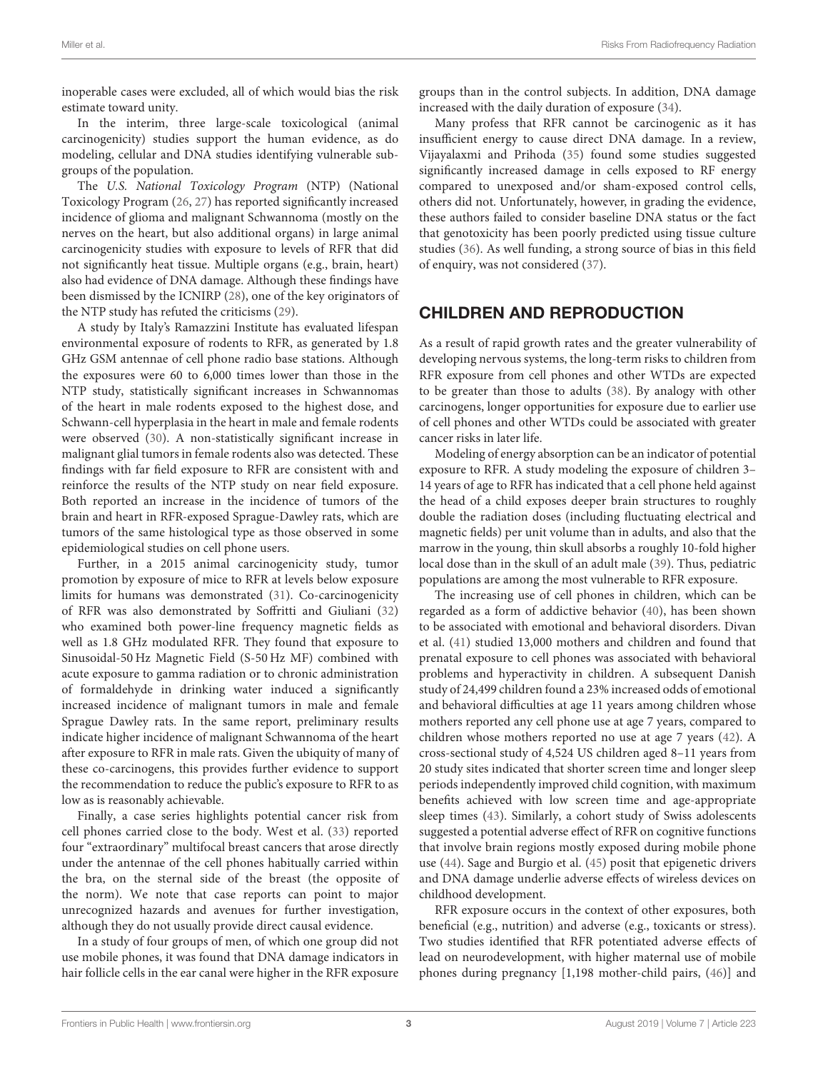inoperable cases were excluded, all of which would bias the risk estimate toward unity.

In the interim, three large-scale toxicological (animal carcinogenicity) studies support the human evidence, as do modeling, cellular and DNA studies identifying vulnerable subgroups of the population.

The U.S. National Toxicology Program (NTP) (National Toxicology Program [\(26,](#page-6-19) [27\)](#page-6-20) has reported significantly increased incidence of glioma and malignant Schwannoma (mostly on the nerves on the heart, but also additional organs) in large animal carcinogenicity studies with exposure to levels of RFR that did not significantly heat tissue. Multiple organs (e.g., brain, heart) also had evidence of DNA damage. Although these findings have been dismissed by the ICNIRP [\(28\)](#page-6-21), one of the key originators of the NTP study has refuted the criticisms [\(29\)](#page-6-22).

A study by Italy's Ramazzini Institute has evaluated lifespan environmental exposure of rodents to RFR, as generated by 1.8 GHz GSM antennae of cell phone radio base stations. Although the exposures were 60 to 6,000 times lower than those in the NTP study, statistically significant increases in Schwannomas of the heart in male rodents exposed to the highest dose, and Schwann-cell hyperplasia in the heart in male and female rodents were observed [\(30\)](#page-6-23). A non-statistically significant increase in malignant glial tumors in female rodents also was detected. These findings with far field exposure to RFR are consistent with and reinforce the results of the NTP study on near field exposure. Both reported an increase in the incidence of tumors of the brain and heart in RFR-exposed Sprague-Dawley rats, which are tumors of the same histological type as those observed in some epidemiological studies on cell phone users.

Further, in a 2015 animal carcinogenicity study, tumor promotion by exposure of mice to RFR at levels below exposure limits for humans was demonstrated [\(31\)](#page-6-24). Co-carcinogenicity of RFR was also demonstrated by Soffritti and Giuliani [\(32\)](#page-6-25) who examined both power-line frequency magnetic fields as well as 1.8 GHz modulated RFR. They found that exposure to Sinusoidal-50 Hz Magnetic Field (S-50 Hz MF) combined with acute exposure to gamma radiation or to chronic administration of formaldehyde in drinking water induced a significantly increased incidence of malignant tumors in male and female Sprague Dawley rats. In the same report, preliminary results indicate higher incidence of malignant Schwannoma of the heart after exposure to RFR in male rats. Given the ubiquity of many of these co-carcinogens, this provides further evidence to support the recommendation to reduce the public's exposure to RFR to as low as is reasonably achievable.

Finally, a case series highlights potential cancer risk from cell phones carried close to the body. West et al. [\(33\)](#page-6-26) reported four "extraordinary" multifocal breast cancers that arose directly under the antennae of the cell phones habitually carried within the bra, on the sternal side of the breast (the opposite of the norm). We note that case reports can point to major unrecognized hazards and avenues for further investigation, although they do not usually provide direct causal evidence.

In a study of four groups of men, of which one group did not use mobile phones, it was found that DNA damage indicators in hair follicle cells in the ear canal were higher in the RFR exposure groups than in the control subjects. In addition, DNA damage increased with the daily duration of exposure [\(34\)](#page-6-27).

Many profess that RFR cannot be carcinogenic as it has insufficient energy to cause direct DNA damage. In a review, Vijayalaxmi and Prihoda [\(35\)](#page-6-28) found some studies suggested significantly increased damage in cells exposed to RF energy compared to unexposed and/or sham-exposed control cells, others did not. Unfortunately, however, in grading the evidence, these authors failed to consider baseline DNA status or the fact that genotoxicity has been poorly predicted using tissue culture studies [\(36\)](#page-6-29). As well funding, a strong source of bias in this field of enquiry, was not considered [\(37\)](#page-6-30).

# CHILDREN AND REPRODUCTION

As a result of rapid growth rates and the greater vulnerability of developing nervous systems, the long-term risks to children from RFR exposure from cell phones and other WTDs are expected to be greater than those to adults [\(38\)](#page-6-31). By analogy with other carcinogens, longer opportunities for exposure due to earlier use of cell phones and other WTDs could be associated with greater cancer risks in later life.

Modeling of energy absorption can be an indicator of potential exposure to RFR. A study modeling the exposure of children 3– 14 years of age to RFR has indicated that a cell phone held against the head of a child exposes deeper brain structures to roughly double the radiation doses (including fluctuating electrical and magnetic fields) per unit volume than in adults, and also that the marrow in the young, thin skull absorbs a roughly 10-fold higher local dose than in the skull of an adult male [\(39\)](#page-6-32). Thus, pediatric populations are among the most vulnerable to RFR exposure.

The increasing use of cell phones in children, which can be regarded as a form of addictive behavior [\(40\)](#page-7-0), has been shown to be associated with emotional and behavioral disorders. Divan et al. [\(41\)](#page-7-1) studied 13,000 mothers and children and found that prenatal exposure to cell phones was associated with behavioral problems and hyperactivity in children. A subsequent Danish study of 24,499 children found a 23% increased odds of emotional and behavioral difficulties at age 11 years among children whose mothers reported any cell phone use at age 7 years, compared to children whose mothers reported no use at age 7 years [\(42\)](#page-7-2). A cross-sectional study of 4,524 US children aged 8–11 years from 20 study sites indicated that shorter screen time and longer sleep periods independently improved child cognition, with maximum benefits achieved with low screen time and age-appropriate sleep times [\(43\)](#page-7-3). Similarly, a cohort study of Swiss adolescents suggested a potential adverse effect of RFR on cognitive functions that involve brain regions mostly exposed during mobile phone use [\(44\)](#page-7-4). Sage and Burgio et al. [\(45\)](#page-7-5) posit that epigenetic drivers and DNA damage underlie adverse effects of wireless devices on childhood development.

RFR exposure occurs in the context of other exposures, both beneficial (e.g., nutrition) and adverse (e.g., toxicants or stress). Two studies identified that RFR potentiated adverse effects of lead on neurodevelopment, with higher maternal use of mobile phones during pregnancy [1,198 mother-child pairs, [\(46\)](#page-7-6)] and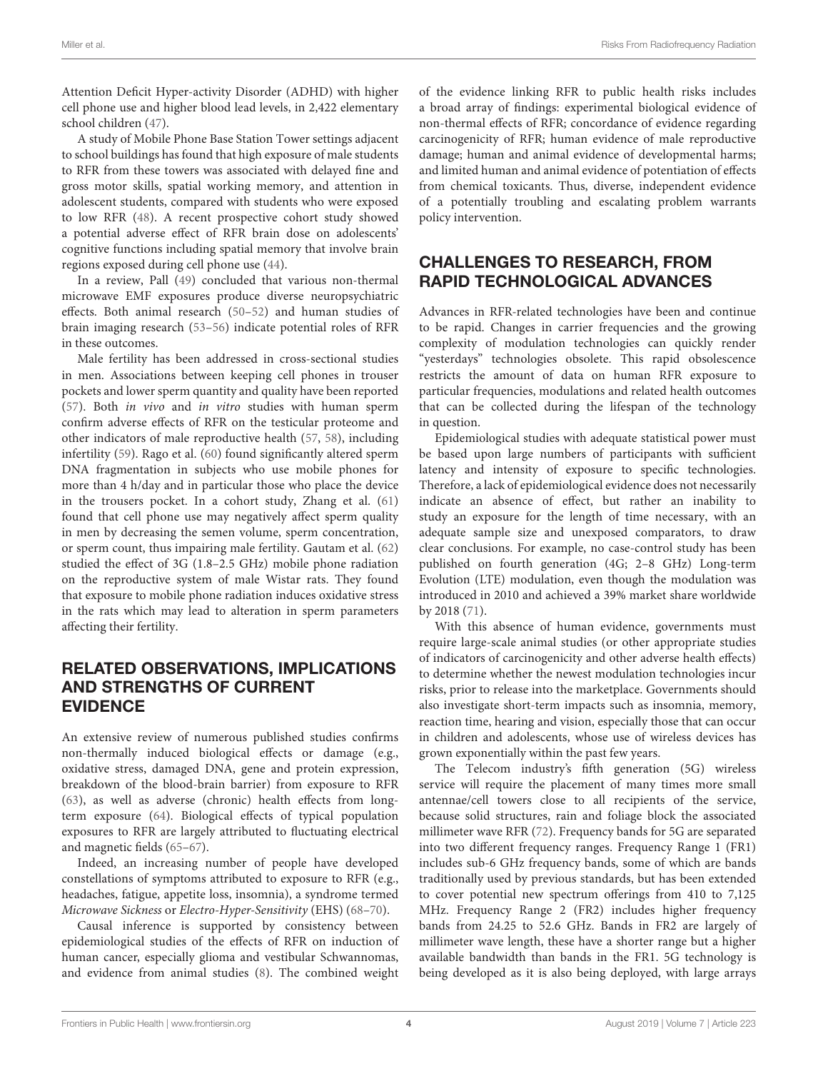Attention Deficit Hyper-activity Disorder (ADHD) with higher cell phone use and higher blood lead levels, in 2,422 elementary school children [\(47\)](#page-7-7).

A study of Mobile Phone Base Station Tower settings adjacent to school buildings has found that high exposure of male students to RFR from these towers was associated with delayed fine and gross motor skills, spatial working memory, and attention in adolescent students, compared with students who were exposed to low RFR [\(48\)](#page-7-8). A recent prospective cohort study showed a potential adverse effect of RFR brain dose on adolescents' cognitive functions including spatial memory that involve brain regions exposed during cell phone use [\(44\)](#page-7-4).

In a review, Pall [\(49\)](#page-7-9) concluded that various non-thermal microwave EMF exposures produce diverse neuropsychiatric effects. Both animal research [\(50](#page-7-10)[–52\)](#page-7-11) and human studies of brain imaging research [\(53–](#page-7-12)[56\)](#page-7-13) indicate potential roles of RFR in these outcomes.

Male fertility has been addressed in cross-sectional studies in men. Associations between keeping cell phones in trouser pockets and lower sperm quantity and quality have been reported [\(57\)](#page-7-14). Both in vivo and in vitro studies with human sperm confirm adverse effects of RFR on the testicular proteome and other indicators of male reproductive health [\(57,](#page-7-14) [58\)](#page-7-15), including infertility [\(59\)](#page-7-16). Rago et al. [\(60\)](#page-7-17) found significantly altered sperm DNA fragmentation in subjects who use mobile phones for more than 4 h/day and in particular those who place the device in the trousers pocket. In a cohort study, Zhang et al. [\(61\)](#page-7-18) found that cell phone use may negatively affect sperm quality in men by decreasing the semen volume, sperm concentration, or sperm count, thus impairing male fertility. Gautam et al. [\(62\)](#page-7-19) studied the effect of 3G (1.8–2.5 GHz) mobile phone radiation on the reproductive system of male Wistar rats. They found that exposure to mobile phone radiation induces oxidative stress in the rats which may lead to alteration in sperm parameters affecting their fertility.

## RELATED OBSERVATIONS, IMPLICATIONS AND STRENGTHS OF CURRENT EVIDENCE

An extensive review of numerous published studies confirms non-thermally induced biological effects or damage (e.g., oxidative stress, damaged DNA, gene and protein expression, breakdown of the blood-brain barrier) from exposure to RFR [\(63\)](#page-7-20), as well as adverse (chronic) health effects from longterm exposure [\(64\)](#page-7-21). Biological effects of typical population exposures to RFR are largely attributed to fluctuating electrical and magnetic fields [\(65–](#page-7-22)[67\)](#page-7-23).

Indeed, an increasing number of people have developed constellations of symptoms attributed to exposure to RFR (e.g., headaches, fatigue, appetite loss, insomnia), a syndrome termed Microwave Sickness or Electro-Hyper-Sensitivity (EHS) [\(68](#page-7-24)[–70\)](#page-7-25).

Causal inference is supported by consistency between epidemiological studies of the effects of RFR on induction of human cancer, especially glioma and vestibular Schwannomas, and evidence from animal studies [\(8\)](#page-6-2). The combined weight of the evidence linking RFR to public health risks includes a broad array of findings: experimental biological evidence of non-thermal effects of RFR; concordance of evidence regarding carcinogenicity of RFR; human evidence of male reproductive damage; human and animal evidence of developmental harms; and limited human and animal evidence of potentiation of effects from chemical toxicants. Thus, diverse, independent evidence of a potentially troubling and escalating problem warrants policy intervention.

# CHALLENGES TO RESEARCH, FROM RAPID TECHNOLOGICAL ADVANCES

Advances in RFR-related technologies have been and continue to be rapid. Changes in carrier frequencies and the growing complexity of modulation technologies can quickly render "yesterdays" technologies obsolete. This rapid obsolescence restricts the amount of data on human RFR exposure to particular frequencies, modulations and related health outcomes that can be collected during the lifespan of the technology in question.

Epidemiological studies with adequate statistical power must be based upon large numbers of participants with sufficient latency and intensity of exposure to specific technologies. Therefore, a lack of epidemiological evidence does not necessarily indicate an absence of effect, but rather an inability to study an exposure for the length of time necessary, with an adequate sample size and unexposed comparators, to draw clear conclusions. For example, no case-control study has been published on fourth generation (4G; 2–8 GHz) Long-term Evolution (LTE) modulation, even though the modulation was introduced in 2010 and achieved a 39% market share worldwide by 2018 [\(71\)](#page-7-26).

With this absence of human evidence, governments must require large-scale animal studies (or other appropriate studies of indicators of carcinogenicity and other adverse health effects) to determine whether the newest modulation technologies incur risks, prior to release into the marketplace. Governments should also investigate short-term impacts such as insomnia, memory, reaction time, hearing and vision, especially those that can occur in children and adolescents, whose use of wireless devices has grown exponentially within the past few years.

The Telecom industry's fifth generation (5G) wireless service will require the placement of many times more small antennae/cell towers close to all recipients of the service, because solid structures, rain and foliage block the associated millimeter wave RFR [\(72\)](#page-7-27). Frequency bands for 5G are separated into two different frequency ranges. Frequency Range 1 (FR1) includes sub-6 GHz frequency bands, some of which are bands traditionally used by previous standards, but has been extended to cover potential new spectrum offerings from 410 to 7,125 MHz. Frequency Range 2 (FR2) includes higher frequency bands from 24.25 to 52.6 GHz. Bands in FR2 are largely of millimeter wave length, these have a shorter range but a higher available bandwidth than bands in the FR1. 5G technology is being developed as it is also being deployed, with large arrays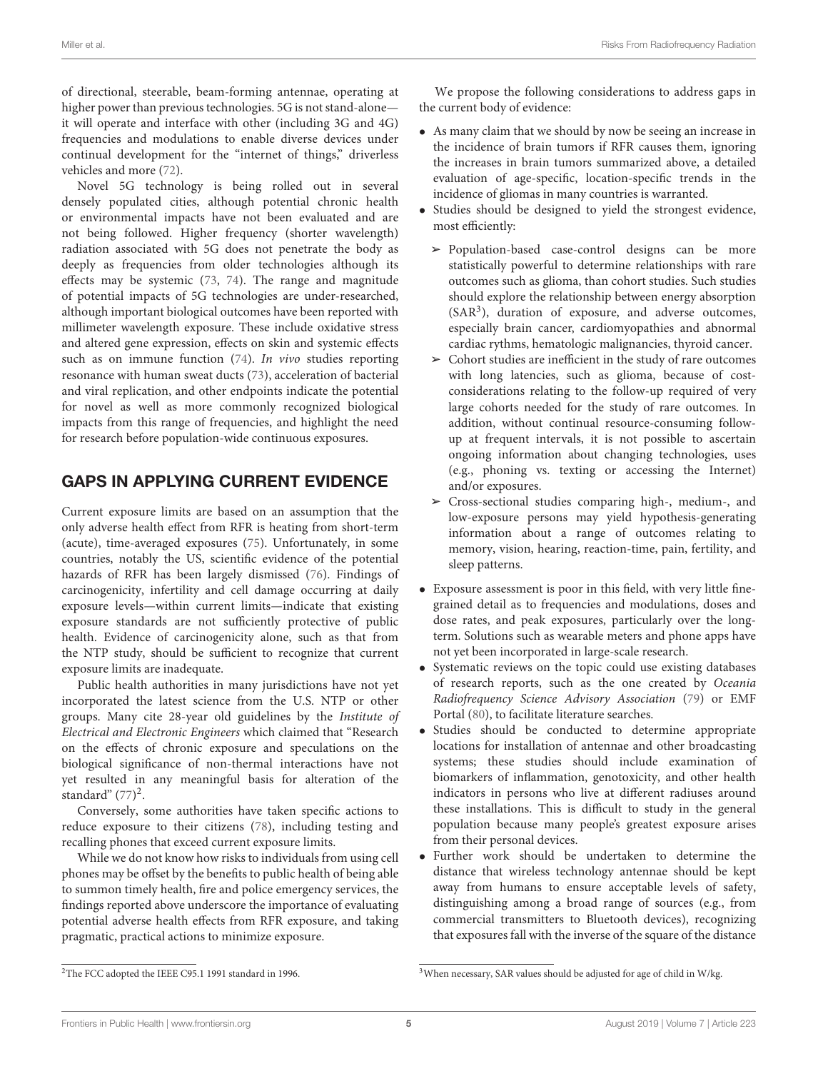of directional, steerable, beam-forming antennae, operating at higher power than previous technologies. 5G is not stand-alone it will operate and interface with other (including 3G and 4G) frequencies and modulations to enable diverse devices under continual development for the "internet of things," driverless vehicles and more [\(72\)](#page-7-27).

Novel 5G technology is being rolled out in several densely populated cities, although potential chronic health or environmental impacts have not been evaluated and are not being followed. Higher frequency (shorter wavelength) radiation associated with 5G does not penetrate the body as deeply as frequencies from older technologies although its effects may be systemic [\(73,](#page-7-28) [74\)](#page-7-29). The range and magnitude of potential impacts of 5G technologies are under-researched, although important biological outcomes have been reported with millimeter wavelength exposure. These include oxidative stress and altered gene expression, effects on skin and systemic effects such as on immune function [\(74\)](#page-7-29). In vivo studies reporting resonance with human sweat ducts [\(73\)](#page-7-28), acceleration of bacterial and viral replication, and other endpoints indicate the potential for novel as well as more commonly recognized biological impacts from this range of frequencies, and highlight the need for research before population-wide continuous exposures.

# GAPS IN APPLYING CURRENT EVIDENCE

Current exposure limits are based on an assumption that the only adverse health effect from RFR is heating from short-term (acute), time-averaged exposures [\(75\)](#page-7-30). Unfortunately, in some countries, notably the US, scientific evidence of the potential hazards of RFR has been largely dismissed [\(76\)](#page-7-31). Findings of carcinogenicity, infertility and cell damage occurring at daily exposure levels—within current limits—indicate that existing exposure standards are not sufficiently protective of public health. Evidence of carcinogenicity alone, such as that from the NTP study, should be sufficient to recognize that current exposure limits are inadequate.

Public health authorities in many jurisdictions have not yet incorporated the latest science from the U.S. NTP or other groups. Many cite 28-year old guidelines by the Institute of Electrical and Electronic Engineers which claimed that "Research on the effects of chronic exposure and speculations on the biological significance of non-thermal interactions have not yet resulted in any meaningful basis for alteration of the standard"  $(77)^2$  $(77)^2$ .

Conversely, some authorities have taken specific actions to reduce exposure to their citizens [\(78\)](#page-7-33), including testing and recalling phones that exceed current exposure limits.

While we do not know how risks to individuals from using cell phones may be offset by the benefits to public health of being able to summon timely health, fire and police emergency services, the findings reported above underscore the importance of evaluating potential adverse health effects from RFR exposure, and taking pragmatic, practical actions to minimize exposure.

We propose the following considerations to address gaps in the current body of evidence:

- As many claim that we should by now be seeing an increase in the incidence of brain tumors if RFR causes them, ignoring the increases in brain tumors summarized above, a detailed evaluation of age-specific, location-specific trends in the incidence of gliomas in many countries is warranted.
- Studies should be designed to yield the strongest evidence, most efficiently:
- ➢ Population-based case-control designs can be more statistically powerful to determine relationships with rare outcomes such as glioma, than cohort studies. Such studies should explore the relationship between energy absorption (SAR[3](#page-4-1) ), duration of exposure, and adverse outcomes, especially brain cancer, cardiomyopathies and abnormal cardiac rythms, hematologic malignancies, thyroid cancer.
- $\triangleright$  Cohort studies are inefficient in the study of rare outcomes with long latencies, such as glioma, because of costconsiderations relating to the follow-up required of very large cohorts needed for the study of rare outcomes. In addition, without continual resource-consuming followup at frequent intervals, it is not possible to ascertain ongoing information about changing technologies, uses (e.g., phoning vs. texting or accessing the Internet) and/or exposures.
- $\triangleright$  Cross-sectional studies comparing high-, medium-, and low-exposure persons may yield hypothesis-generating information about a range of outcomes relating to memory, vision, hearing, reaction-time, pain, fertility, and sleep patterns.
- Exposure assessment is poor in this field, with very little finegrained detail as to frequencies and modulations, doses and dose rates, and peak exposures, particularly over the longterm. Solutions such as wearable meters and phone apps have not yet been incorporated in large-scale research.
- Systematic reviews on the topic could use existing databases of research reports, such as the one created by Oceania Radiofrequency Science Advisory Association [\(79\)](#page-8-0) or EMF Portal [\(80\)](#page-8-1), to facilitate literature searches.
- Studies should be conducted to determine appropriate locations for installation of antennae and other broadcasting systems; these studies should include examination of biomarkers of inflammation, genotoxicity, and other health indicators in persons who live at different radiuses around these installations. This is difficult to study in the general population because many people's greatest exposure arises from their personal devices.
- Further work should be undertaken to determine the distance that wireless technology antennae should be kept away from humans to ensure acceptable levels of safety, distinguishing among a broad range of sources (e.g., from commercial transmitters to Bluetooth devices), recognizing that exposures fall with the inverse of the square of the distance

<span id="page-4-0"></span><sup>2</sup>The FCC adopted the IEEE C95.1 1991 standard in 1996.

<span id="page-4-1"></span><sup>3</sup>When necessary, SAR values should be adjusted for age of child in W/kg.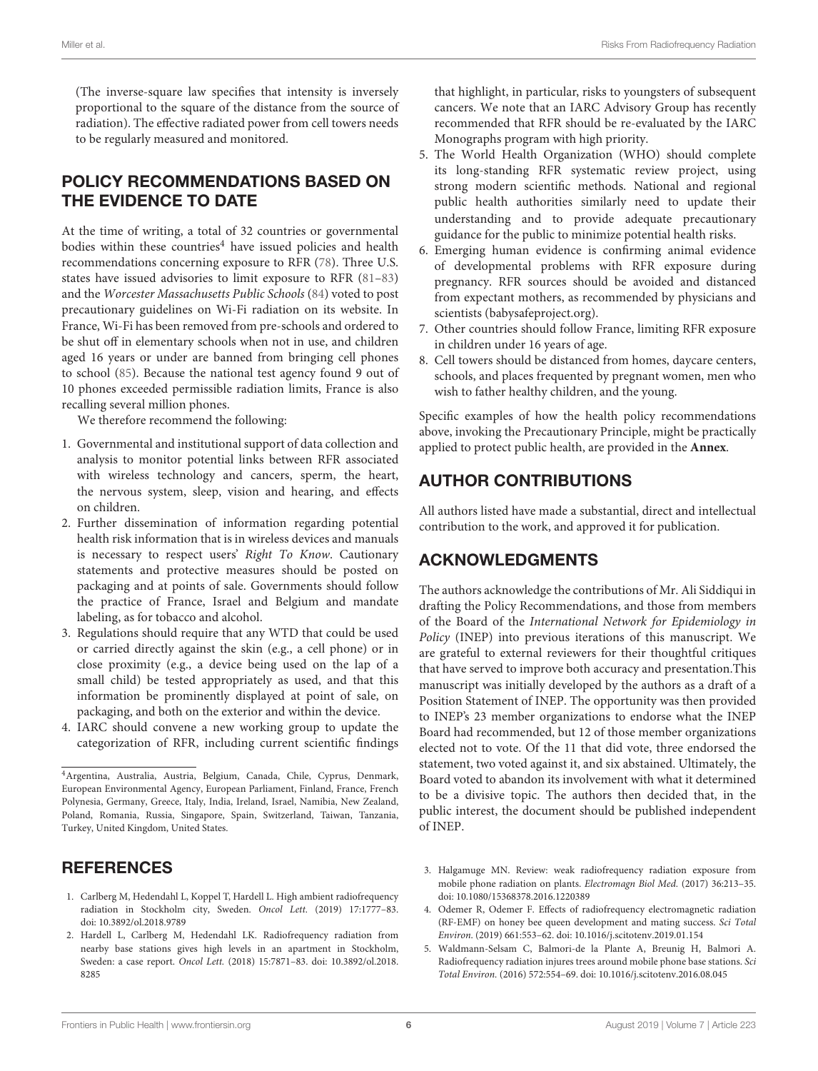(The inverse-square law specifies that intensity is inversely proportional to the square of the distance from the source of radiation). The effective radiated power from cell towers needs to be regularly measured and monitored.

# POLICY RECOMMENDATIONS BASED ON THE EVIDENCE TO DATE

At the time of writing, a total of 32 countries or governmental bodies within these countries<sup>[4](#page-5-4)</sup> have issued policies and health recommendations concerning exposure to RFR [\(78\)](#page-7-33). Three U.S. states have issued advisories to limit exposure to RFR [\(81–](#page-8-2)[83\)](#page-8-3) and the Worcester Massachusetts Public Schools [\(84\)](#page-8-4) voted to post precautionary guidelines on Wi-Fi radiation on its website. In France, Wi-Fi has been removed from pre-schools and ordered to be shut off in elementary schools when not in use, and children aged 16 years or under are banned from bringing cell phones to school [\(85\)](#page-8-5). Because the national test agency found 9 out of 10 phones exceeded permissible radiation limits, France is also recalling several million phones.

We therefore recommend the following:

- 1. Governmental and institutional support of data collection and analysis to monitor potential links between RFR associated with wireless technology and cancers, sperm, the heart, the nervous system, sleep, vision and hearing, and effects on children.
- 2. Further dissemination of information regarding potential health risk information that is in wireless devices and manuals is necessary to respect users' Right To Know. Cautionary statements and protective measures should be posted on packaging and at points of sale. Governments should follow the practice of France, Israel and Belgium and mandate labeling, as for tobacco and alcohol.
- 3. Regulations should require that any WTD that could be used or carried directly against the skin (e.g., a cell phone) or in close proximity (e.g., a device being used on the lap of a small child) be tested appropriately as used, and that this information be prominently displayed at point of sale, on packaging, and both on the exterior and within the device.
- 4. IARC should convene a new working group to update the categorization of RFR, including current scientific findings

## REFERENCES

- <span id="page-5-0"></span>1. Carlberg M, Hedendahl L, Koppel T, Hardell L. High ambient radiofrequency radiation in Stockholm city, Sweden. Oncol Lett. (2019) 17:1777–83. doi: [10.3892/ol.2018.9789](https://doi.org/10.3892/ol.2018.9789)
- <span id="page-5-1"></span>2. Hardell L, Carlberg M, Hedendahl LK. Radiofrequency radiation from nearby base stations gives high levels in an apartment in Stockholm, Sweden: a case report. Oncol Lett. [\(2018\) 15:7871–83. doi: 10.3892/ol.2018.](https://doi.org/10.3892/ol.2018.8285) 8285

that highlight, in particular, risks to youngsters of subsequent cancers. We note that an IARC Advisory Group has recently recommended that RFR should be re-evaluated by the IARC Monographs program with high priority.

- 5. The World Health Organization (WHO) should complete its long-standing RFR systematic review project, using strong modern scientific methods. National and regional public health authorities similarly need to update their understanding and to provide adequate precautionary guidance for the public to minimize potential health risks.
- 6. Emerging human evidence is confirming animal evidence of developmental problems with RFR exposure during pregnancy. RFR sources should be avoided and distanced from expectant mothers, as recommended by physicians and scientists [\(babysafeproject.org\)](https://www.babysafeproject.org/).
- 7. Other countries should follow France, limiting RFR exposure in children under 16 years of age.
- 8. Cell towers should be distanced from homes, daycare centers, schools, and places frequented by pregnant women, men who wish to father healthy children, and the young.

Specific examples of how the health policy recommendations above, invoking the Precautionary Principle, might be practically applied to protect public health, are provided in the **[Annex](#page-9-0)**.

# AUTHOR CONTRIBUTIONS

All authors listed have made a substantial, direct and intellectual contribution to the work, and approved it for publication.

## ACKNOWLEDGMENTS

The authors acknowledge the contributions of Mr. Ali Siddiqui in drafting the Policy Recommendations, and those from members of the Board of the International Network for Epidemiology in Policy (INEP) into previous iterations of this manuscript. We are grateful to external reviewers for their thoughtful critiques that have served to improve both accuracy and presentation.This manuscript was initially developed by the authors as a draft of a Position Statement of INEP. The opportunity was then provided to INEP's 23 member organizations to endorse what the INEP Board had recommended, but 12 of those member organizations elected not to vote. Of the 11 that did vote, three endorsed the statement, two voted against it, and six abstained. Ultimately, the Board voted to abandon its involvement with what it determined to be a divisive topic. The authors then decided that, in the public interest, the document should be published independent of INEP.

- <span id="page-5-2"></span>3. Halgamuge MN. Review: weak radiofrequency radiation exposure from mobile phone radiation on plants. Electromagn Biol Med. (2017) 36:213–35. doi: [10.1080/15368378.2016.1220389](https://doi.org/10.1080/15368378.2016.1220389)
- 4. Odemer R, Odemer F. Effects of radiofrequency electromagnetic radiation (RF-EMF) on honey bee queen development and mating success. Sci Total Environ. (2019) 661:553–62. doi: [10.1016/j.scitotenv.2019.01.154](https://doi.org/10.1016/j.scitotenv.2019.01.154)
- <span id="page-5-3"></span>5. Waldmann-Selsam C, Balmori-de la Plante A, Breunig H, Balmori A. Radiofrequency radiation injures trees around mobile phone base stations. Sci Total Environ. (2016) 572:554–69. doi: [10.1016/j.scitotenv.2016.08.045](https://doi.org/10.1016/j.scitotenv.2016.08.045)

<span id="page-5-4"></span><sup>4</sup>Argentina, Australia, Austria, Belgium, Canada, Chile, Cyprus, Denmark, European Environmental Agency, European Parliament, Finland, France, French Polynesia, Germany, Greece, Italy, India, Ireland, Israel, Namibia, New Zealand, Poland, Romania, Russia, Singapore, Spain, Switzerland, Taiwan, Tanzania, Turkey, United Kingdom, United States.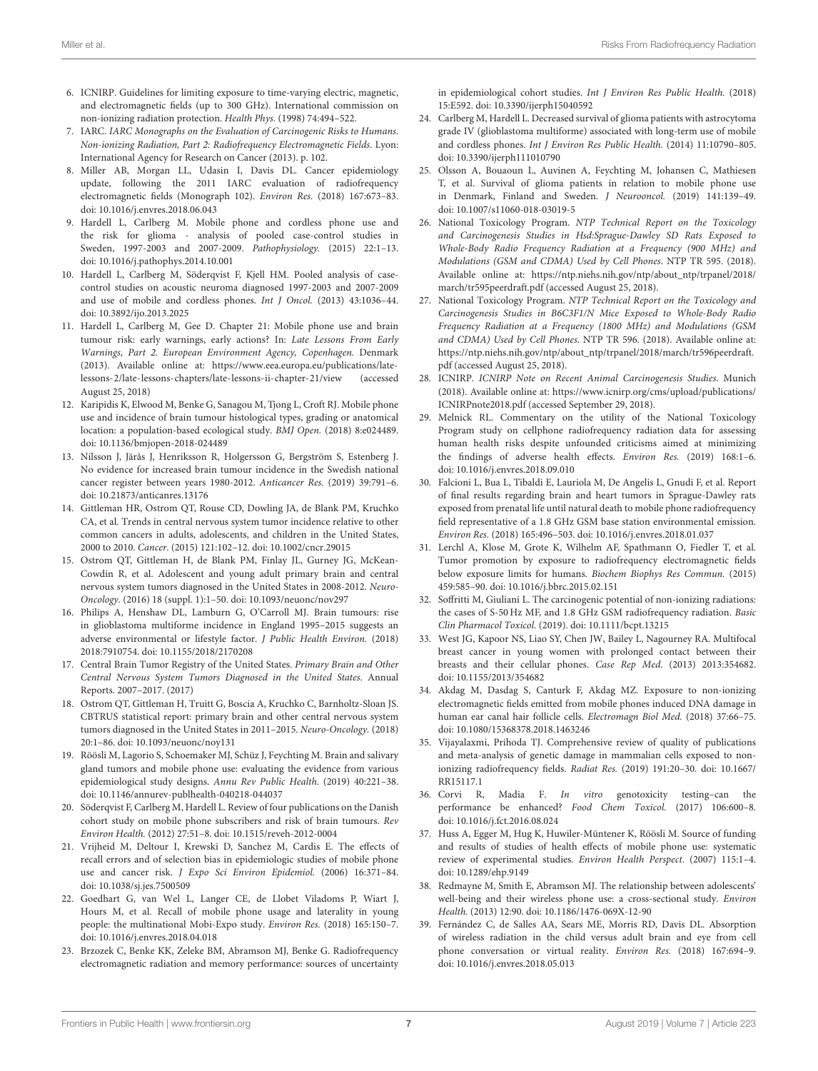- <span id="page-6-0"></span>6. ICNIRP. Guidelines for limiting exposure to time-varying electric, magnetic, and electromagnetic fields (up to 300 GHz). International commission on non-ionizing radiation protection. Health Phys. (1998) 74:494–522.
- <span id="page-6-1"></span>7. IARC. IARC Monographs on the Evaluation of Carcinogenic Risks to Humans. Non-ionizing Radiation, Part 2: Radiofrequency Electromagnetic Fields. Lyon: International Agency for Research on Cancer (2013). p. 102.
- <span id="page-6-2"></span>8. Miller AB, Morgan LL, Udasin I, Davis DL. Cancer epidemiology update, following the 2011 IARC evaluation of radiofrequency electromagnetic fields (Monograph 102). Environ Res. (2018) 167:673–83. doi: [10.1016/j.envres.2018.06.043](https://doi.org/10.1016/j.envres.2018.06.043)
- <span id="page-6-3"></span>9. Hardell L, Carlberg M. Mobile phone and cordless phone use and the risk for glioma - analysis of pooled case-control studies in Sweden, 1997-2003 and 2007-2009. Pathophysiology. (2015) 22:1–13. doi: [10.1016/j.pathophys.2014.10.001](https://doi.org/10.1016/j.pathophys.2014.10.001)
- 10. Hardell L, Carlberg M, Söderqvist F, Kjell HM. Pooled analysis of casecontrol studies on acoustic neuroma diagnosed 1997-2003 and 2007-2009 and use of mobile and cordless phones. Int J Oncol. (2013) 43:1036–44. doi: [10.3892/ijo.2013.2025](https://doi.org/10.3892/ijo.2013.2025)
- <span id="page-6-4"></span>11. Hardell L, Carlberg M, Gee D. Chapter 21: Mobile phone use and brain tumour risk: early warnings, early actions? In: Late Lessons From Early Warnings, Part 2. European Environment Agency, Copenhagen. Denmark (2013). Available online at: [https://www.eea.europa.eu/publications/late](https://www.eea.europa.eu/publications/late-lessons-2/late-lessons-chapters/late-lessons-ii-chapter-21/view)[lessons-2/late-lessons-chapters/late-lessons-ii-chapter-21/view](https://www.eea.europa.eu/publications/late-lessons-2/late-lessons-chapters/late-lessons-ii-chapter-21/view) (accessed August 25, 2018)
- <span id="page-6-5"></span>12. Karipidis K, Elwood M, Benke G, Sanagou M, Tjong L, Croft RJ. Mobile phone use and incidence of brain tumour histological types, grading or anatomical location: a population-based ecological study. BMJ Open. (2018) 8:e024489. doi: [10.1136/bmjopen-2018-024489](https://doi.org/10.1136/bmjopen-2018-024489)
- <span id="page-6-6"></span>13. Nilsson J, Järås J, Henriksson R, Holgersson G, Bergström S, Estenberg J. No evidence for increased brain tumour incidence in the Swedish national cancer register between years 1980-2012. Anticancer Res. (2019) 39:791–6. doi: [10.21873/anticanres.13176](https://doi.org/10.21873/anticanres.13176)
- <span id="page-6-7"></span>14. Gittleman HR, Ostrom QT, Rouse CD, Dowling JA, de Blank PM, Kruchko CA, et al. Trends in central nervous system tumor incidence relative to other common cancers in adults, adolescents, and children in the United States, 2000 to 2010. Cancer. (2015) 121:102–12. doi: [10.1002/cncr.29015](https://doi.org/10.1002/cncr.29015)
- <span id="page-6-8"></span>15. Ostrom QT, Gittleman H, de Blank PM, Finlay JL, Gurney JG, McKean-Cowdin R, et al. Adolescent and young adult primary brain and central nervous system tumors diagnosed in the United States in 2008-2012. Neuro-Oncology. (2016) 18 (suppl. 1):1–50. doi: [10.1093/neuonc/nov297](https://doi.org/10.1093/neuonc/nov297)
- <span id="page-6-9"></span>16. Philips A, Henshaw DL, Lamburn G, O'Carroll MJ. Brain tumours: rise in glioblastoma multiforme incidence in England 1995–2015 suggests an adverse environmental or lifestyle factor. J Public Health Environ. (2018) 2018:7910754. doi: [10.1155/2018/2170208](https://doi.org/10.1155/2018/2170208)
- <span id="page-6-10"></span>17. Central Brain Tumor Registry of the United States. Primary Brain and Other Central Nervous System Tumors Diagnosed in the United States. Annual Reports. 2007–2017. (2017)
- <span id="page-6-11"></span>18. Ostrom QT, Gittleman H, Truitt G, Boscia A, Kruchko C, Barnholtz-Sloan JS. CBTRUS statistical report: primary brain and other central nervous system tumors diagnosed in the United States in 2011–2015. Neuro-Oncology. (2018) 20:1–86. doi: [10.1093/neuonc/noy131](https://doi.org/10.1093/neuonc/noy131)
- <span id="page-6-12"></span>19. Röösli M, Lagorio S, Schoemaker MJ, Schüz J, Feychting M. Brain and salivary gland tumors and mobile phone use: evaluating the evidence from various epidemiological study designs. Annu Rev Public Health. (2019) 40:221–38. doi: [10.1146/annurev-publhealth-040218-044037](https://doi.org/10.1146/annurev-publhealth-040218-044037)
- <span id="page-6-13"></span>20. Söderqvist F, Carlberg M, Hardell L. Review of four publications on the Danish cohort study on mobile phone subscribers and risk of brain tumours. Rev Environ Health. (2012) 27:51–8. doi: [10.1515/reveh-2012-0004](https://doi.org/10.1515/reveh-2012-0004)
- <span id="page-6-14"></span>21. Vrijheid M, Deltour I, Krewski D, Sanchez M, Cardis E. The effects of recall errors and of selection bias in epidemiologic studies of mobile phone use and cancer risk. J Expo Sci Environ Epidemiol. (2006) 16:371–84. doi: [10.1038/sj.jes.7500509](https://doi.org/10.1038/sj.jes.7500509)
- <span id="page-6-15"></span>22. Goedhart G, van Wel L, Langer CE, de Llobet Viladoms P, Wiart J, Hours M, et al. Recall of mobile phone usage and laterality in young people: the multinational Mobi-Expo study. Environ Res. (2018) 165:150–7. doi: [10.1016/j.envres.2018.04.018](https://doi.org/10.1016/j.envres.2018.04.018)
- <span id="page-6-16"></span>23. Brzozek C, Benke KK, Zeleke BM, Abramson MJ, Benke G. Radiofrequency electromagnetic radiation and memory performance: sources of uncertainty

in epidemiological cohort studies. Int J Environ Res Public Health. (2018) 15:E592. doi: [10.3390/ijerph15040592](https://doi.org/10.3390/ijerph15040592)

- <span id="page-6-17"></span>24. Carlberg M, Hardell L. Decreased survival of glioma patients with astrocytoma grade IV (glioblastoma multiforme) associated with long-term use of mobile and cordless phones. Int J Environ Res Public Health. (2014) 11:10790–805. doi: [10.3390/ijerph111010790](https://doi.org/10.3390/ijerph111010790)
- <span id="page-6-18"></span>25. Olsson A, Bouaoun L, Auvinen A, Feychting M, Johansen C, Mathiesen T, et al. Survival of glioma patients in relation to mobile phone use in Denmark, Finland and Sweden. J Neurooncol. (2019) 141:139–49. doi: [10.1007/s11060-018-03019-5](https://doi.org/10.1007/s11060-018-03019-5)
- <span id="page-6-19"></span>26. National Toxicology Program. NTP Technical Report on the Toxicology and Carcinogenesis Studies in Hsd:Sprague-Dawley SD Rats Exposed to Whole-Body Radio Frequency Radiation at a Frequency (900 MHz) and Modulations (GSM and CDMA) Used by Cell Phones. NTP TR 595. (2018). Available online at: [https://ntp.niehs.nih.gov/ntp/about\\_ntp/trpanel/2018/](https://ntp.niehs.nih.gov/ntp/about_ntp/trpanel/2018/march/tr595peerdraft.pdf) [march/tr595peerdraft.pdf](https://ntp.niehs.nih.gov/ntp/about_ntp/trpanel/2018/march/tr595peerdraft.pdf) (accessed August 25, 2018).
- <span id="page-6-20"></span>27. National Toxicology Program. NTP Technical Report on the Toxicology and Carcinogenesis Studies in B6C3F1/N Mice Exposed to Whole-Body Radio Frequency Radiation at a Frequency (1800 MHz) and Modulations (GSM and CDMA) Used by Cell Phones. NTP TR 596. (2018). Available online at: [https://ntp.niehs.nih.gov/ntp/about\\_ntp/trpanel/2018/march/tr596peerdraft.](https://ntp.niehs.nih.gov/ntp/about_ntp/trpanel/2018/march/tr596peerdraft.pdf) [pdf](https://ntp.niehs.nih.gov/ntp/about_ntp/trpanel/2018/march/tr596peerdraft.pdf) (accessed August 25, 2018).
- <span id="page-6-21"></span>28. ICNIRP. ICNIRP Note on Recent Animal Carcinogenesis Studies. Munich (2018). Available online at: [https://www.icnirp.org/cms/upload/publications/](https://www.icnirp.org/cms/upload/publications/ICNIRPnote2018.pdf) [ICNIRPnote2018.pdf](https://www.icnirp.org/cms/upload/publications/ICNIRPnote2018.pdf) (accessed September 29, 2018).
- <span id="page-6-22"></span>29. Melnick RL. Commentary on the utility of the National Toxicology Program study on cellphone radiofrequency radiation data for assessing human health risks despite unfounded criticisms aimed at minimizing the findings of adverse health effects. Environ Res. (2019) 168:1–6. doi: [10.1016/j.envres.2018.09.010](https://doi.org/10.1016/j.envres.2018.09.010)
- <span id="page-6-23"></span>30. Falcioni L, Bua L, Tibaldi E, Lauriola M, De Angelis L, Gnudi F, et al. Report of final results regarding brain and heart tumors in Sprague-Dawley rats exposed from prenatal life until natural death to mobile phone radiofrequency field representative of a 1.8 GHz GSM base station environmental emission. Environ Res. (2018) 165:496–503. doi: [10.1016/j.envres.2018.01.037](https://doi.org/10.1016/j.envres.2018.01.037)
- <span id="page-6-24"></span>31. Lerchl A, Klose M, Grote K, Wilhelm AF, Spathmann O, Fiedler T, et al. Tumor promotion by exposure to radiofrequency electromagnetic fields below exposure limits for humans. Biochem Biophys Res Commun. (2015) 459:585–90. doi: [10.1016/j.bbrc.2015.02.151](https://doi.org/10.1016/j.bbrc.2015.02.151)
- <span id="page-6-25"></span>32. Soffritti M, Giuliani L. The carcinogenic potential of non-ionizing radiations: the cases of S-50 Hz MF, and 1.8 GHz GSM radiofrequency radiation. Basic Clin Pharmacol Toxicol. (2019). doi: [10.1111/bcpt.13215](https://doi.org/10.1111/bcpt.13215)
- <span id="page-6-26"></span>33. West JG, Kapoor NS, Liao SY, Chen JW, Bailey L, Nagourney RA. Multifocal breast cancer in young women with prolonged contact between their breasts and their cellular phones. Case Rep Med. (2013) 2013:354682. doi: [10.1155/2013/354682](https://doi.org/10.1155/2013/354682)
- <span id="page-6-27"></span>34. Akdag M, Dasdag S, Canturk F, Akdag MZ. Exposure to non-ionizing electromagnetic fields emitted from mobile phones induced DNA damage in human ear canal hair follicle cells. Electromagn Biol Med. (2018) 37:66–75. doi: [10.1080/15368378.2018.1463246](https://doi.org/10.1080/15368378.2018.1463246)
- <span id="page-6-28"></span>35. Vijayalaxmi, Prihoda TJ. Comprehensive review of quality of publications and meta-analysis of genetic damage in mammalian cells exposed to nonionizing radiofrequency fields. Radiat Res. [\(2019\) 191:20–30. doi: 10.1667/](https://doi.org/10.1667/RR15117.1) RR15117.1
- <span id="page-6-29"></span>36. Corvi R, Madia F. In vitro genotoxicity testing–can the performance be enhanced? Food Chem Toxicol. (2017) 106:600–8. doi: [10.1016/j.fct.2016.08.024](https://doi.org/10.1016/j.fct.2016.08.024)
- <span id="page-6-30"></span>37. Huss A, Egger M, Hug K, Huwiler-Müntener K, Röösli M. Source of funding and results of studies of health effects of mobile phone use: systematic review of experimental studies. Environ Health Perspect. (2007) 115:1–4. doi: [10.1289/ehp.9149](https://doi.org/10.1289/ehp.9149)
- <span id="page-6-31"></span>38. Redmayne M, Smith E, Abramson MJ. The relationship between adolescents' well-being and their wireless phone use: a cross-sectional study. Environ Health. (2013) 12:90. doi: [10.1186/1476-069X-12-90](https://doi.org/10.1186/1476-069X-12-90)
- <span id="page-6-32"></span>39. Fernández C, de Salles AA, Sears ME, Morris RD, Davis DL. Absorption of wireless radiation in the child versus adult brain and eye from cell phone conversation or virtual reality. Environ Res. (2018) 167:694–9. doi: [10.1016/j.envres.2018.05.013](https://doi.org/10.1016/j.envres.2018.05.013)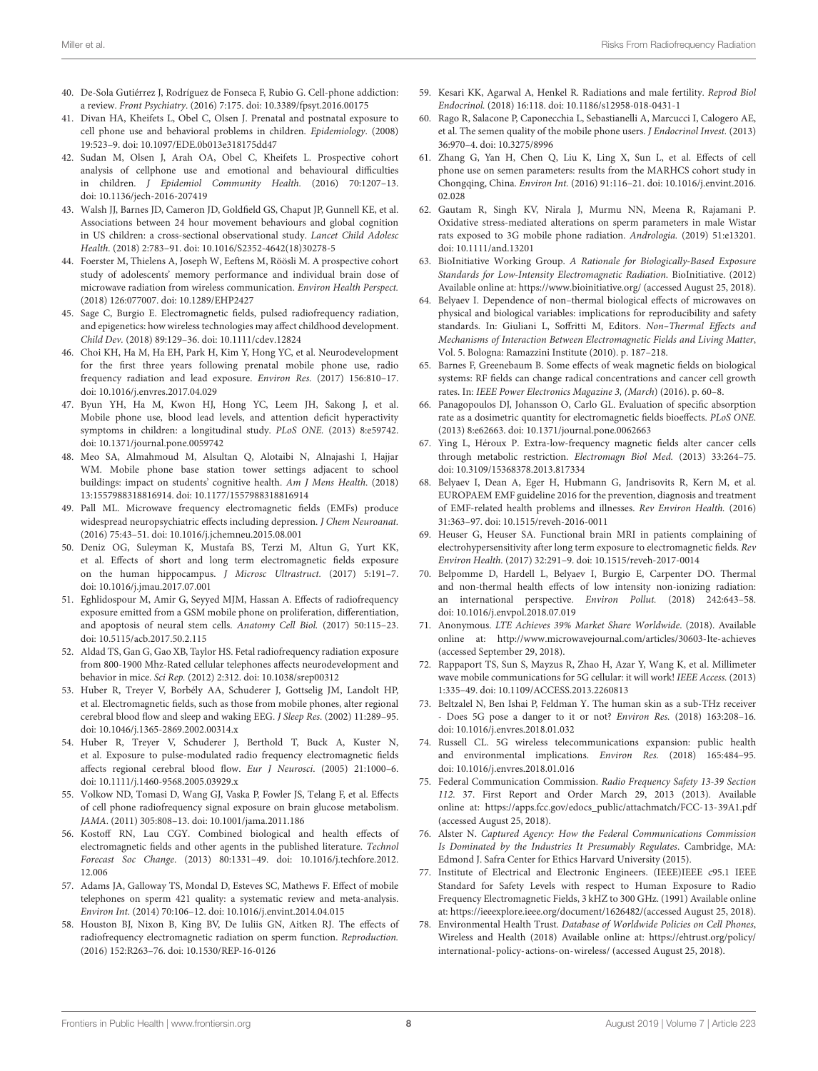- <span id="page-7-0"></span>40. De-Sola Gutiérrez J, Rodríguez de Fonseca F, Rubio G. Cell-phone addiction: a review. Front Psychiatry. (2016) 7:175. doi: [10.3389/fpsyt.2016.00175](https://doi.org/10.3389/fpsyt.2016.00175)
- <span id="page-7-1"></span>41. Divan HA, Kheifets L, Obel C, Olsen J. Prenatal and postnatal exposure to cell phone use and behavioral problems in children. Epidemiology. (2008) 19:523–9. doi: [10.1097/EDE.0b013e318175dd47](https://doi.org/10.1097/EDE.0b013e318175dd47)
- <span id="page-7-2"></span>42. Sudan M, Olsen J, Arah OA, Obel C, Kheifets L. Prospective cohort analysis of cellphone use and emotional and behavioural difficulties in children. J Epidemiol Community Health. (2016) 70:1207–13. doi: [10.1136/jech-2016-207419](https://doi.org/10.1136/jech-2016-207419)
- <span id="page-7-3"></span>43. Walsh JJ, Barnes JD, Cameron JD, Goldfield GS, Chaput JP, Gunnell KE, et al. Associations between 24 hour movement behaviours and global cognition in US children: a cross-sectional observational study. Lancet Child Adolesc Health. (2018) 2:783–91. doi: [10.1016/S2352-4642\(18\)30278-5](https://doi.org/10.1016/S2352-4642(18)30278-5)
- <span id="page-7-4"></span>44. Foerster M, Thielens A, Joseph W, Eeftens M, Röösli M. A prospective cohort study of adolescents' memory performance and individual brain dose of microwave radiation from wireless communication. Environ Health Perspect. (2018) 126:077007. doi: [10.1289/EHP2427](https://doi.org/10.1289/EHP2427)
- <span id="page-7-5"></span>45. Sage C, Burgio E. Electromagnetic fields, pulsed radiofrequency radiation, and epigenetics: how wireless technologies may affect childhood development. Child Dev. (2018) 89:129–36. doi: [10.1111/cdev.12824](https://doi.org/10.1111/cdev.12824)
- <span id="page-7-6"></span>46. Choi KH, Ha M, Ha EH, Park H, Kim Y, Hong YC, et al. Neurodevelopment for the first three years following prenatal mobile phone use, radio frequency radiation and lead exposure. Environ Res. (2017) 156:810–17. doi: [10.1016/j.envres.2017.04.029](https://doi.org/10.1016/j.envres.2017.04.029)
- <span id="page-7-7"></span>47. Byun YH, Ha M, Kwon HJ, Hong YC, Leem JH, Sakong J, et al. Mobile phone use, blood lead levels, and attention deficit hyperactivity symptoms in children: a longitudinal study. PLoS ONE. (2013) 8:e59742. doi: [10.1371/journal.pone.0059742](https://doi.org/10.1371/journal.pone.0059742)
- <span id="page-7-8"></span>48. Meo SA, Almahmoud M, Alsultan Q, Alotaibi N, Alnajashi I, Hajjar WM. Mobile phone base station tower settings adjacent to school buildings: impact on students' cognitive health. Am J Mens Health. (2018) 13:1557988318816914. doi: [10.1177/1557988318816914](https://doi.org/10.1177/1557988318816914)
- <span id="page-7-9"></span>49. Pall ML. Microwave frequency electromagnetic fields (EMFs) produce widespread neuropsychiatric effects including depression. J Chem Neuroanat. (2016) 75:43–51. doi: [10.1016/j.jchemneu.2015.08.001](https://doi.org/10.1016/j.jchemneu.2015.08.001)
- <span id="page-7-10"></span>50. Deniz OG, Suleyman K, Mustafa BS, Terzi M, Altun G, Yurt KK, et al. Effects of short and long term electromagnetic fields exposure on the human hippocampus. J Microsc Ultrastruct. (2017) 5:191–7. doi: [10.1016/j.jmau.2017.07.001](https://doi.org/10.1016/j.jmau.2017.07.001)
- 51. Eghlidospour M, Amir G, Seyyed MJM, Hassan A. Effects of radiofrequency exposure emitted from a GSM mobile phone on proliferation, differentiation, and apoptosis of neural stem cells. Anatomy Cell Biol. (2017) 50:115–23. doi: [10.5115/acb.2017.50.2.115](https://doi.org/10.5115/acb.2017.50.2.115)
- <span id="page-7-11"></span>52. Aldad TS, Gan G, Gao XB, Taylor HS. Fetal radiofrequency radiation exposure from 800-1900 Mhz-Rated cellular telephones affects neurodevelopment and behavior in mice. Sci Rep. (2012) 2:312. doi: [10.1038/srep00312](https://doi.org/10.1038/srep00312)
- <span id="page-7-12"></span>53. Huber R, Treyer V, Borbély AA, Schuderer J, Gottselig JM, Landolt HP, et al. Electromagnetic fields, such as those from mobile phones, alter regional cerebral blood flow and sleep and waking EEG. J Sleep Res. (2002) 11:289–95. doi: [10.1046/j.1365-2869.2002.00314.x](https://doi.org/10.1046/j.1365-2869.2002.00314.x)
- 54. Huber R, Treyer V, Schuderer J, Berthold T, Buck A, Kuster N, et al. Exposure to pulse-modulated radio frequency electromagnetic fields affects regional cerebral blood flow. Eur J Neurosci. (2005) 21:1000–6. doi: [10.1111/j.1460-9568.2005.03929.x](https://doi.org/10.1111/j.1460-9568.2005.03929.x)
- 55. Volkow ND, Tomasi D, Wang GJ, Vaska P, Fowler JS, Telang F, et al. Effects of cell phone radiofrequency signal exposure on brain glucose metabolism. JAMA. (2011) 305:808–13. doi: [10.1001/jama.2011.186](https://doi.org/10.1001/jama.2011.186)
- <span id="page-7-13"></span>56. Kostoff RN, Lau CGY. Combined biological and health effects of electromagnetic fields and other agents in the published literature. Technol Forecast Soc Change[. \(2013\) 80:1331–49. doi: 10.1016/j.techfore.2012.](https://doi.org/10.1016/j.techfore.2012.12.006) 12.006
- <span id="page-7-14"></span>57. Adams JA, Galloway TS, Mondal D, Esteves SC, Mathews F. Effect of mobile telephones on sperm 421 quality: a systematic review and meta-analysis. Environ Int. (2014) 70:106–12. doi: [10.1016/j.envint.2014.04.015](https://doi.org/10.1016/j.envint.2014.04.015)
- <span id="page-7-15"></span>58. Houston BJ, Nixon B, King BV, De Iuliis GN, Aitken RJ. The effects of radiofrequency electromagnetic radiation on sperm function. Reproduction. (2016) 152:R263–76. doi: [10.1530/REP-16-0126](https://doi.org/10.1530/REP-16-0126)
- <span id="page-7-16"></span>59. Kesari KK, Agarwal A, Henkel R. Radiations and male fertility. Reprod Biol Endocrinol. (2018) 16:118. doi: [10.1186/s12958-018-0431-1](https://doi.org/10.1186/s12958-018-0431-1)
- <span id="page-7-17"></span>60. Rago R, Salacone P, Caponecchia L, Sebastianelli A, Marcucci I, Calogero AE, et al. The semen quality of the mobile phone users. J Endocrinol Invest. (2013) 36:970–4. doi: [10.3275/8996](https://doi.org/10.3275/8996)
- <span id="page-7-18"></span>61. Zhang G, Yan H, Chen Q, Liu K, Ling X, Sun L, et al. Effects of cell phone use on semen parameters: results from the MARHCS cohort study in Chongqing, China. Environ Int. [\(2016\) 91:116–21. doi: 10.1016/j.envint.2016.](https://doi.org/10.1016/j.envint.2016.02.028) 02.028
- <span id="page-7-19"></span>62. Gautam R, Singh KV, Nirala J, Murmu NN, Meena R, Rajamani P. Oxidative stress-mediated alterations on sperm parameters in male Wistar rats exposed to 3G mobile phone radiation. Andrologia. (2019) 51:e13201. doi: [10.1111/and.13201](https://doi.org/10.1111/and.13201)
- <span id="page-7-20"></span>63. BioInitiative Working Group. A Rationale for Biologically-Based Exposure Standards for Low-Intensity Electromagnetic Radiation. BioInitiative. (2012) Available online at:<https://www.bioinitiative.org/> (accessed August 25, 2018).
- <span id="page-7-21"></span>64. Belyaev I. Dependence of non–thermal biological effects of microwaves on physical and biological variables: implications for reproducibility and safety standards. In: Giuliani L, Soffritti M, Editors. Non–Thermal Effects and Mechanisms of Interaction Between Electromagnetic Fields and Living Matter, Vol. 5. Bologna: Ramazzini Institute (2010). p. 187–218.
- <span id="page-7-22"></span>65. Barnes F, Greenebaum B. Some effects of weak magnetic fields on biological systems: RF fields can change radical concentrations and cancer cell growth rates. In: IEEE Power Electronics Magazine 3, (March) (2016). p. 60–8.
- 66. Panagopoulos DJ, Johansson O, Carlo GL. Evaluation of specific absorption rate as a dosimetric quantity for electromagnetic fields bioeffects. PLoS ONE. (2013) 8:e62663. doi: [10.1371/journal.pone.0062663](https://doi.org/10.1371/journal.pone.0062663)
- <span id="page-7-23"></span>67. Ying L, Héroux P. Extra-low-frequency magnetic fields alter cancer cells through metabolic restriction. Electromagn Biol Med. (2013) 33:264–75. doi: [10.3109/15368378.2013.817334](https://doi.org/10.3109/15368378.2013.817334)
- <span id="page-7-24"></span>68. Belyaev I, Dean A, Eger H, Hubmann G, Jandrisovits R, Kern M, et al. EUROPAEM EMF guideline 2016 for the prevention, diagnosis and treatment of EMF-related health problems and illnesses. Rev Environ Health. (2016) 31:363–97. doi: [10.1515/reveh-2016-0011](https://doi.org/10.1515/reveh-2016-0011)
- 69. Heuser G, Heuser SA. Functional brain MRI in patients complaining of electrohypersensitivity after long term exposure to electromagnetic fields. Rev Environ Health. (2017) 32:291–9. doi: [10.1515/reveh-2017-0014](https://doi.org/10.1515/reveh-2017-0014)
- <span id="page-7-25"></span>70. Belpomme D, Hardell L, Belyaev I, Burgio E, Carpenter DO. Thermal and non-thermal health effects of low intensity non-ionizing radiation: an international perspective. Environ Pollut. (2018) 242:643–58. doi: [10.1016/j.envpol.2018.07.019](https://doi.org/10.1016/j.envpol.2018.07.019)
- <span id="page-7-26"></span>71. Anonymous. LTE Achieves 39% Market Share Worldwide. (2018). Available online at:<http://www.microwavejournal.com/articles/30603-lte-achieves> (accessed September 29, 2018).
- <span id="page-7-27"></span>72. Rappaport TS, Sun S, Mayzus R, Zhao H, Azar Y, Wang K, et al. Millimeter wave mobile communications for 5G cellular: it will work! IEEE Access. (2013) 1:335–49. doi: [10.1109/ACCESS.2013.2260813](https://doi.org/10.1109/ACCESS.2013.2260813)
- <span id="page-7-28"></span>73. Beltzalel N, Ben Ishai P, Feldman Y. The human skin as a sub-THz receiver - Does 5G pose a danger to it or not? Environ Res. (2018) 163:208–16. doi: [10.1016/j.envres.2018.01.032](https://doi.org/10.1016/j.envres.2018.01.032)
- <span id="page-7-29"></span>74. Russell CL. 5G wireless telecommunications expansion: public health and environmental implications. Environ Res. (2018) 165:484–95. doi: [10.1016/j.envres.2018.01.016](https://doi.org/10.1016/j.envres.2018.01.016)
- <span id="page-7-30"></span>75. Federal Communication Commission. Radio Frequency Safety 13-39 Section 112. 37. First Report and Order March 29, 2013 (2013). Available online at: [https://apps.fcc.gov/edocs\\_public/attachmatch/FCC-13-39A1.pdf](https://apps.fcc.gov/edocs_public/attachmatch/FCC-13-39A1.pdf) (accessed August 25, 2018).
- <span id="page-7-31"></span>76. Alster N. Captured Agency: How the Federal Communications Commission Is Dominated by the Industries It Presumably Regulates. Cambridge, MA: Edmond J. Safra Center for Ethics Harvard University (2015).
- <span id="page-7-32"></span>77. Institute of Electrical and Electronic Engineers. (IEEE)IEEE c95.1 IEEE Standard for Safety Levels with respect to Human Exposure to Radio Frequency Electromagnetic Fields, 3 kHZ to 300 GHz. (1991) Available online at: [https://ieeexplore.ieee.org/document/1626482/\(](https://ieeexplore.ieee.org/document/1626482/)accessed August 25, 2018).
- <span id="page-7-33"></span>78. Environmental Health Trust. Database of Worldwide Policies on Cell Phones, Wireless and Health (2018) Available online at: [https://ehtrust.org/policy/](https://ehtrust.org/policy/international-policy-actions-on-wireless/) [international-policy-actions-on-wireless/](https://ehtrust.org/policy/international-policy-actions-on-wireless/) (accessed August 25, 2018).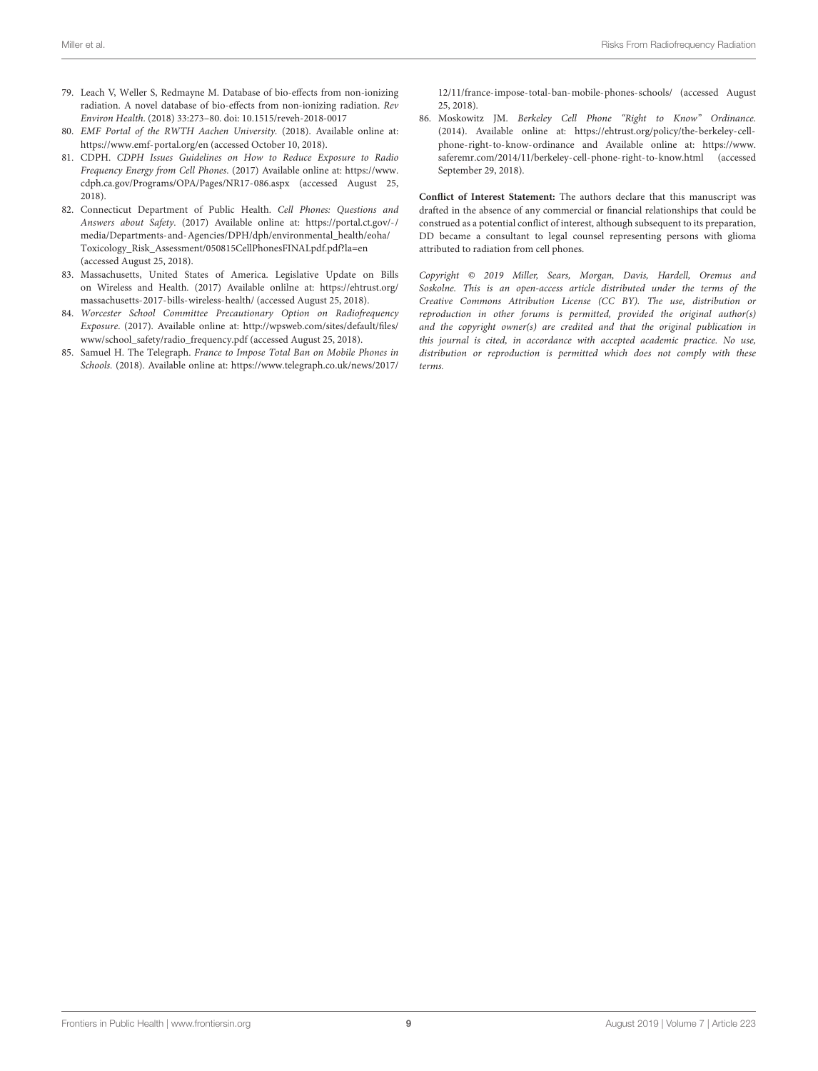- <span id="page-8-0"></span>79. Leach V, Weller S, Redmayne M. Database of bio-effects from non-ionizing radiation. A novel database of bio-effects from non-ionizing radiation. Rev Environ Health. (2018) 33:273–80. doi: [10.1515/reveh-2018-0017](https://doi.org/10.1515/reveh-2018-0017)
- <span id="page-8-1"></span>80. EMF Portal of the RWTH Aachen University. (2018). Available online at: <https://www.emf-portal.org/en> (accessed October 10, 2018).
- <span id="page-8-2"></span>81. CDPH. CDPH Issues Guidelines on How to Reduce Exposure to Radio Frequency Energy from Cell Phones. (2017) Available online at: [https://www.](https://www.cdph.ca.gov/Programs/OPA/Pages/NR17-086.aspx) [cdph.ca.gov/Programs/OPA/Pages/NR17-086.aspx](https://www.cdph.ca.gov/Programs/OPA/Pages/NR17-086.aspx) (accessed August 25, 2018).
- 82. Connecticut Department of Public Health. Cell Phones: Questions and Answers about Safety. (2017) Available online at: [https://portal.ct.gov/-/](https://portal.ct.gov/-/media/Departments-and-Agencies/DPH/dph/environmental_health/eoha/Toxicology_Risk_Assessment/050815CellPhonesFINALpdf.pdf?la=en) [media/Departments-and-Agencies/DPH/dph/environmental\\_health/eoha/](https://portal.ct.gov/-/media/Departments-and-Agencies/DPH/dph/environmental_health/eoha/Toxicology_Risk_Assessment/050815CellPhonesFINALpdf.pdf?la=en) [Toxicology\\_Risk\\_Assessment/050815CellPhonesFINALpdf.pdf?la=en](https://portal.ct.gov/-/media/Departments-and-Agencies/DPH/dph/environmental_health/eoha/Toxicology_Risk_Assessment/050815CellPhonesFINALpdf.pdf?la=en) (accessed August 25, 2018).
- <span id="page-8-3"></span>83. Massachusetts, United States of America. Legislative Update on Bills on Wireless and Health. (2017) Available onlilne at: [https://ehtrust.org/](https://ehtrust.org/massachusetts-2017-bills-wireless-health/) [massachusetts-2017-bills-wireless-health/](https://ehtrust.org/massachusetts-2017-bills-wireless-health/) (accessed August 25, 2018).
- <span id="page-8-4"></span>84. Worcester School Committee Precautionary Option on Radiofrequency Exposure. (2017). Available online at: [http://wpsweb.com/sites/default/files/](http://wpsweb.com/sites/default/files/www/school_safety/radio_frequency.pdf) [www/school\\_safety/radio\\_frequency.pdf](http://wpsweb.com/sites/default/files/www/school_safety/radio_frequency.pdf) (accessed August 25, 2018).
- <span id="page-8-5"></span>85. Samuel H. The Telegraph. France to Impose Total Ban on Mobile Phones in Schools. (2018). Available online at: [https://www.telegraph.co.uk/news/2017/](https://www.telegraph.co.uk/news/2017/12/11/france-impose-total-ban-mobile-phones-schools/)

[12/11/france-impose-total-ban-mobile-phones-schools/](https://www.telegraph.co.uk/news/2017/12/11/france-impose-total-ban-mobile-phones-schools/) (accessed August 25, 2018).

<span id="page-8-6"></span>86. Moskowitz JM. Berkeley Cell Phone "Right to Know" Ordinance. (2014). Available online at: [https://ehtrust.org/policy/the-berkeley-cell](https://ehtrust.org/policy/the-berkeley-cell-phone-right-to-know-ordinance)[phone-right-to-know-ordinance](https://ehtrust.org/policy/the-berkeley-cell-phone-right-to-know-ordinance) and Available online at: [https://www.](https://www.saferemr.com/2014/11/berkeley-cell-phone-right-to-know.html) [saferemr.com/2014/11/berkeley-cell-phone-right-to-know.html](https://www.saferemr.com/2014/11/berkeley-cell-phone-right-to-know.html) (accessed September 29, 2018).

**Conflict of Interest Statement:** The authors declare that this manuscript was drafted in the absence of any commercial or financial relationships that could be construed as a potential conflict of interest, although subsequent to its preparation, DD became a consultant to legal counsel representing persons with glioma attributed to radiation from cell phones.

Copyright © 2019 Miller, Sears, Morgan, Davis, Hardell, Oremus and Soskolne. This is an open-access article distributed under the terms of the [Creative Commons Attribution License \(CC BY\).](http://creativecommons.org/licenses/by/4.0/) The use, distribution or reproduction in other forums is permitted, provided the original author(s) and the copyright owner(s) are credited and that the original publication in this journal is cited, in accordance with accepted academic practice. No use, distribution or reproduction is permitted which does not comply with these terms.